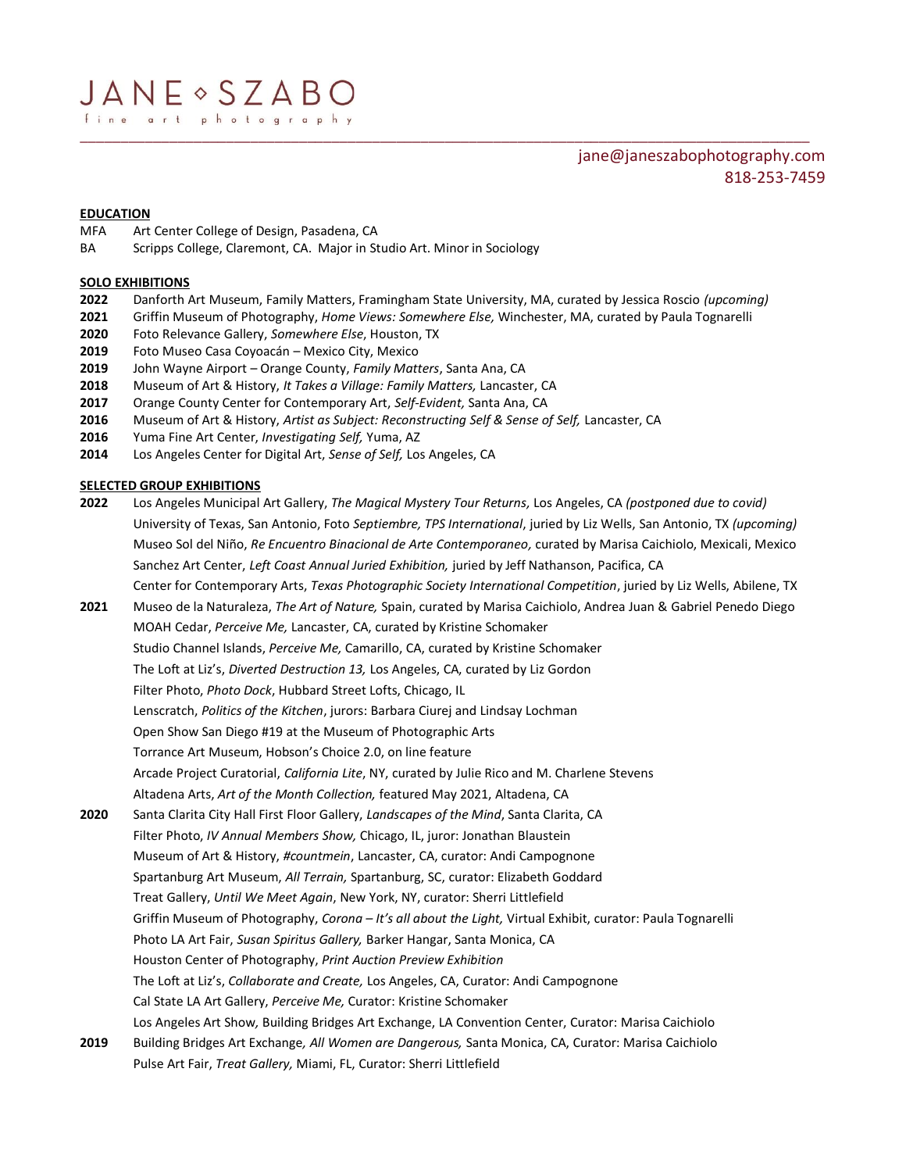# jane@janeszabophotography.com 818-253-7459

# **EDUCATION**

- MFA Art Center College of Design, Pasadena, CA
- BA Scripps College, Claremont, CA. Major in Studio Art. Minor in Sociology

### **SOLO EXHIBITIONS**

**2022** Danforth Art Museum, Family Matters, Framingham State University, MA, curated by Jessica Roscio *(upcoming)*

\_\_\_\_\_\_\_\_\_\_\_\_\_\_\_\_\_\_\_\_\_\_\_\_\_\_\_\_\_\_\_\_\_\_\_\_\_\_\_\_\_\_\_\_\_\_\_\_\_\_\_\_\_\_\_\_\_\_\_\_\_\_\_\_\_\_\_\_\_\_\_\_\_\_\_\_\_\_\_\_\_\_\_\_\_\_\_\_\_\_

- **2021** Griffin Museum of Photography, *Home Views: Somewhere Else,* Winchester, MA, curated by Paula Tognarelli
- **2020** Foto Relevance Gallery, *Somewhere Else*, Houston, TX
- **2019** Foto Museo Casa Coyoacán Mexico City, Mexico
- **2019** John Wayne Airport Orange County, *Family Matters*, Santa Ana, CA
- **2018** Museum of Art & History, *It Takes a Village: Family Matters,* Lancaster, CA
- **2017** Orange County Center for Contemporary Art, *Self-Evident,* Santa Ana, CA
- **2016** Museum of Art & History, *Artist as Subject: Reconstructing Self & Sense of Self,* Lancaster, CA
- **2016** Yuma Fine Art Center, *Investigating Self,* Yuma, AZ
- **2014** Los Angeles Center for Digital Art, *Sense of Self,* Los Angeles, CA

# **SELECTED GROUP EXHIBITIONS**

- **2022** Los Angeles Municipal Art Gallery, *The Magical Mystery Tour Returns,* Los Angeles, CA *(postponed due to covid)* University of Texas, San Antonio, Foto *Septiembre, TPS International*, juried by Liz Wells, San Antonio, TX *(upcoming)* Museo Sol del Niño, *Re Encuentro Binacional de Arte Contemporaneo,* curated by Marisa Caichiolo, Mexicali, Mexico Sanchez Art Center, *Left Coast Annual Juried Exhibition,* juried by Jeff Nathanson, Pacifica, CA Center for Contemporary Arts, *Texas Photographic Society International Competition*, juried by Liz Wells, Abilene, TX
- **2021** Museo de la Naturaleza, *The Art of Nature,* Spain, curated by Marisa Caichiolo, Andrea Juan & Gabriel Penedo Diego MOAH Cedar, *Perceive Me,* Lancaster, CA, curated by Kristine Schomaker Studio Channel Islands, *Perceive Me,* Camarillo, CA, curated by Kristine Schomaker The Loft at Liz's, *Diverted Destruction 13,* Los Angeles, CA, curated by Liz Gordon Filter Photo, *Photo Dock*, Hubbard Street Lofts, Chicago, IL Lenscratch, *Politics of the Kitchen*, jurors: Barbara Ciurej and Lindsay Lochman Open Show San Diego #19 at the Museum of Photographic Arts Torrance Art Museum, Hobson's Choice 2.0, on line feature Arcade Project Curatorial, *California Lite*, NY, curated by Julie Rico and M. Charlene Stevens Altadena Arts, *Art of the Month Collection,* featured May 2021, Altadena, CA **2020** Santa Clarita City Hall First Floor Gallery, *Landscapes of the Mind*, Santa Clarita, CA Filter Photo, *IV Annual Members Show,* Chicago, IL, juror: Jonathan Blaustein Museum of Art & History, *#countmein*, Lancaster, CA, curator: Andi Campognone Spartanburg Art Museum, *All Terrain,* Spartanburg, SC, curator: Elizabeth Goddard Treat Gallery, *Until We Meet Again*, New York, NY, curator: Sherri Littlefield Griffin Museum of Photography, *Corona – It's all about the Light,* Virtual Exhibit, curator: Paula Tognarelli Photo LA Art Fair, *Susan Spiritus Gallery,* Barker Hangar, Santa Monica, CA Houston Center of Photography, *Print Auction Preview Exhibition* The Loft at Liz's, *Collaborate and Create,* Los Angeles, CA, Curator: Andi Campognone Cal State LA Art Gallery, *Perceive Me,* Curator: Kristine Schomaker Los Angeles Art Show*,* Building Bridges Art Exchange, LA Convention Center, Curator: Marisa Caichiolo **2019** Building Bridges Art Exchange*, All Women are Dangerous,* Santa Monica, CA, Curator: Marisa Caichiolo Pulse Art Fair, *Treat Gallery,* Miami, FL, Curator: Sherri Littlefield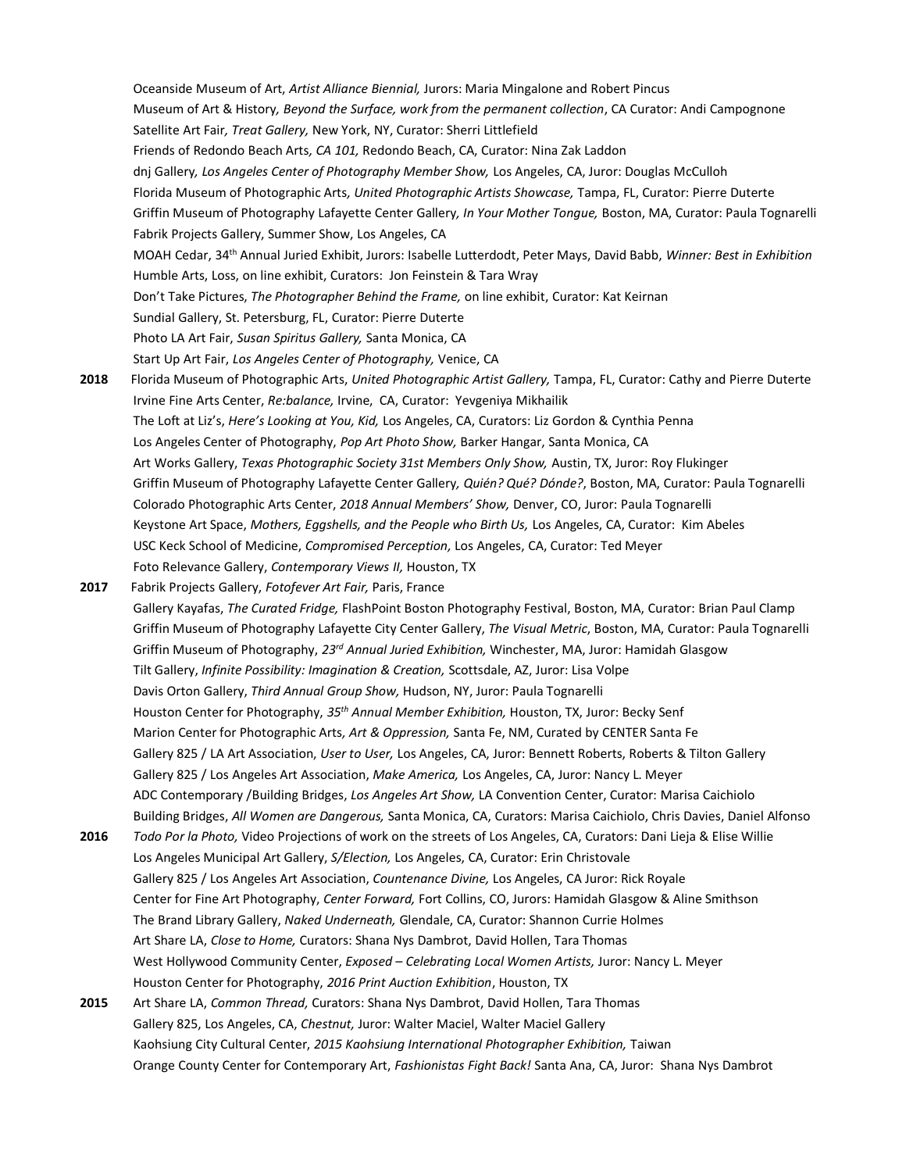Oceanside Museum of Art, *Artist Alliance Biennial,* Jurors: Maria Mingalone and Robert Pincus Museum of Art & History*, Beyond the Surface, work from the permanent collection*, CA Curator: Andi Campognone Satellite Art Fair*, Treat Gallery,* New York, NY, Curator: Sherri Littlefield Friends of Redondo Beach Arts*, CA 101,* Redondo Beach, CA, Curator: Nina Zak Laddon dnj Gallery*, Los Angeles Center of Photography Member Show,* Los Angeles, CA, Juror: Douglas McCulloh Florida Museum of Photographic Arts*, United Photographic Artists Showcase,* Tampa, FL, Curator: Pierre Duterte Griffin Museum of Photography Lafayette Center Gallery*, In Your Mother Tongue,* Boston, MA, Curator: Paula Tognarelli Fabrik Projects Gallery, Summer Show, Los Angeles, CA MOAH Cedar, 34th Annual Juried Exhibit, Jurors: Isabelle Lutterdodt, Peter Mays, David Babb, *Winner: Best in Exhibition*  Humble Arts, Loss, on line exhibit, Curators: Jon Feinstein & Tara Wray Don't Take Pictures, *The Photographer Behind the Frame,* on line exhibit, Curator: Kat Keirnan Sundial Gallery, St. Petersburg, FL, Curator: Pierre Duterte Photo LA Art Fair, *Susan Spiritus Gallery,* Santa Monica, CA Start Up Art Fair, *Los Angeles Center of Photography,* Venice, CA **2018** Florida Museum of Photographic Arts, *United Photographic Artist Gallery,* Tampa, FL, Curator: Cathy and Pierre Duterte Irvine Fine Arts Center, *Re:balance,* Irvine, CA, Curator: Yevgeniya Mikhailik The Loft at Liz's, *Here's Looking at You, Kid,* Los Angeles, CA, Curators: Liz Gordon & Cynthia Penna Los Angeles Center of Photography, *Pop Art Photo Show,* Barker Hangar, Santa Monica, CA Art Works Gallery, *Texas Photographic Society 31st Members Only Show,* Austin, TX, Juror: Roy Flukinger Griffin Museum of Photography Lafayette Center Gallery*, Quién? Qué? Dónde?*, Boston, MA, Curator: Paula Tognarelli Colorado Photographic Arts Center, *2018 Annual Members' Show,* Denver, CO, Juror: Paula Tognarelli Keystone Art Space, *Mothers, Eggshells, and the People who Birth Us,* Los Angeles, CA, Curator: Kim Abeles USC Keck School of Medicine, *Compromised Perception,* Los Angeles, CA, Curator: Ted Meyer Foto Relevance Gallery, *Contemporary Views II,* Houston, TX **2017** Fabrik Projects Gallery, *Fotofever Art Fair,* Paris, France Gallery Kayafas, *The Curated Fridge,* FlashPoint Boston Photography Festival, Boston, MA, Curator: Brian Paul Clamp Griffin Museum of Photography Lafayette City Center Gallery, *The Visual Metric*, Boston, MA, Curator: Paula Tognarelli Griffin Museum of Photography, *23rd Annual Juried Exhibition,* Winchester, MA, Juror: Hamidah Glasgow Tilt Gallery, *Infinite Possibility: Imagination & Creation,* Scottsdale, AZ, Juror: Lisa Volpe Davis Orton Gallery, *Third Annual Group Show,* Hudson, NY, Juror: Paula Tognarelli Houston Center for Photography, *35th Annual Member Exhibition,* Houston, TX, Juror: Becky Senf Marion Center for Photographic Arts*, Art & Oppression,* Santa Fe, NM, Curated by CENTER Santa Fe Gallery 825 / LA Art Association, *User to User,* Los Angeles, CA, Juror: Bennett Roberts, Roberts & Tilton Gallery Gallery 825 / Los Angeles Art Association, *Make America,* Los Angeles, CA, Juror: Nancy L. Meyer ADC Contemporary /Building Bridges, *Los Angeles Art Show,* LA Convention Center, Curator: Marisa Caichiolo Building Bridges, *All Women are Dangerous,* Santa Monica, CA, Curators: Marisa Caichiolo, Chris Davies, Daniel Alfonso **2016** *Todo Por la Photo,* Video Projections of work on the streets of Los Angeles, CA, Curators: Dani Lieja & Elise Willie Los Angeles Municipal Art Gallery, *S/Election,* Los Angeles, CA, Curator: Erin Christovale Gallery 825 / Los Angeles Art Association, *Countenance Divine,* Los Angeles, CA Juror: Rick Royale Center for Fine Art Photography, *Center Forward,* Fort Collins, CO, Jurors: Hamidah Glasgow & Aline Smithson The Brand Library Gallery, *Naked Underneath,* Glendale, CA, Curator: Shannon Currie Holmes Art Share LA, *Close to Home,* Curators: Shana Nys Dambrot, David Hollen, Tara Thomas West Hollywood Community Center, *Exposed – Celebrating Local Women Artists,* Juror: Nancy L. Meyer Houston Center for Photography, *2016 Print Auction Exhibition*, Houston, TX **2015** Art Share LA, *Common Thread,* Curators: Shana Nys Dambrot, David Hollen, Tara Thomas Gallery 825, Los Angeles, CA, *Chestnut,* Juror: Walter Maciel, Walter Maciel Gallery Kaohsiung City Cultural Center, *2015 Kaohsiung International Photographer Exhibition,* Taiwan

Orange County Center for Contemporary Art, *Fashionistas Fight Back!* Santa Ana, CA, Juror: Shana Nys Dambrot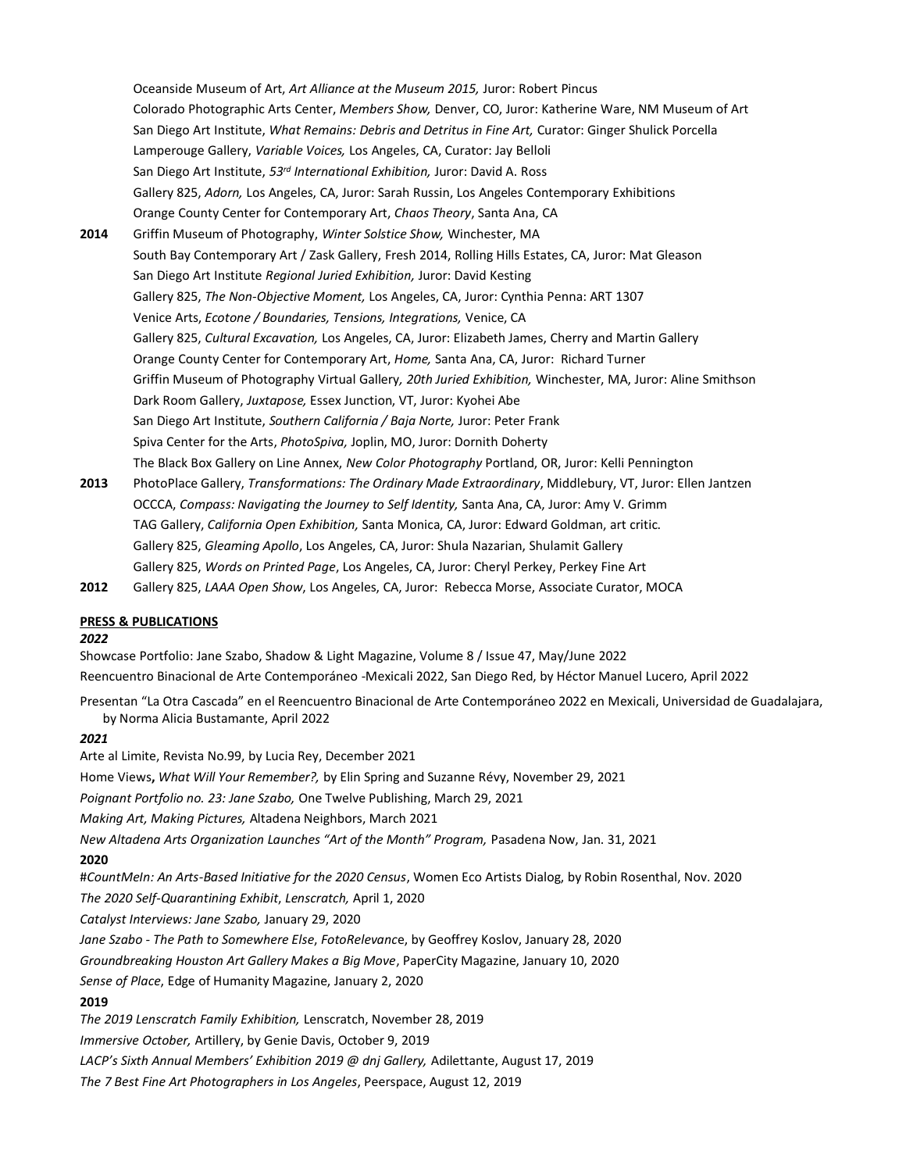Oceanside Museum of Art, *Art Alliance at the Museum 2015,* Juror: Robert Pincus Colorado Photographic Arts Center, *Members Show,* Denver, CO, Juror: Katherine Ware, NM Museum of Art San Diego Art Institute, *What Remains: Debris and Detritus in Fine Art,* Curator: Ginger Shulick Porcella Lamperouge Gallery, *Variable Voices,* Los Angeles, CA, Curator: Jay Belloli San Diego Art Institute, *53rd International Exhibition,* Juror: David A. Ross Gallery 825, *Adorn,* Los Angeles, CA, Juror: Sarah Russin, Los Angeles Contemporary Exhibitions Orange County Center for Contemporary Art, *Chaos Theory*, Santa Ana, CA **2014** Griffin Museum of Photography, *Winter Solstice Show,* Winchester, MA South Bay Contemporary Art / Zask Gallery, Fresh 2014, Rolling Hills Estates, CA, Juror: Mat Gleason San Diego Art Institute *Regional Juried Exhibition,* Juror: David Kesting Gallery 825, *The Non-Objective Moment,* Los Angeles, CA, Juror: Cynthia Penna: ART 1307 Venice Arts, *Ecotone / Boundaries, Tensions, Integrations,* Venice, CA Gallery 825, *Cultural Excavation,* Los Angeles, CA, Juror: Elizabeth James, Cherry and Martin Gallery Orange County Center for Contemporary Art, *Home,* Santa Ana, CA, Juror: Richard Turner Griffin Museum of Photography Virtual Gallery*, 20th Juried Exhibition,* Winchester, MA, Juror: Aline Smithson Dark Room Gallery, *Juxtapose,* Essex Junction, VT, Juror: Kyohei Abe San Diego Art Institute, *Southern California / Baja Norte,* Juror: Peter Frank Spiva Center for the Arts, *PhotoSpiva,* Joplin, MO, Juror: Dornith Doherty The Black Box Gallery on Line Annex, *New Color Photography* Portland, OR, Juror: Kelli Pennington

**2013** PhotoPlace Gallery, *Transformations: The Ordinary Made Extraordinary*, Middlebury, VT, Juror: Ellen Jantzen OCCCA, *Compass: Navigating the Journey to Self Identity,* Santa Ana, CA, Juror: Amy V. Grimm TAG Gallery, *California Open Exhibition,* Santa Monica, CA, Juror: Edward Goldman, art critic. Gallery 825, *Gleaming Apollo*, Los Angeles, CA, Juror: Shula Nazarian, Shulamit Gallery Gallery 825, *Words on Printed Page*, Los Angeles, CA, Juror: Cheryl Perkey, Perkey Fine Art **2012** Gallery 825, *LAAA Open Show*, Los Angeles, CA, Juror: Rebecca Morse, Associate Curator, MOCA

# **PRESS & PUBLICATIONS**

#### *2022*

Showcase Portfolio: Jane Szabo, Shadow & Light Magazine, Volume 8 / Issue 47, May/June 2022 Reencuentro Binacional de Arte Contemporáneo -Mexicali 2022, San Diego Red, by Héctor Manuel Lucero, April 2022

Presentan "La Otra Cascada" en el Reencuentro Binacional de Arte Contemporáneo 2022 en Mexicali, Universidad de Guadalajara, . by Norma Alicia Bustamante, April 2022

#### *2021*

Arte al Limite, Revista No.99, by Lucia Rey, December 2021 Home Views**,** *What Will Your Remember?,* by Elin Spring and Suzanne Révy, November 29, 2021 *Poignant Portfolio no. 23: Jane Szabo,* One Twelve Publishing, March 29, 2021 *Making Art, Making Pictures,* Altadena Neighbors, March 2021 *New Altadena Arts Organization Launches "Art of the Month" Program,* Pasadena Now, Jan. 31, 2021 **2020** #*CountMeIn: An Arts-Based Initiative for the 2020 Census*, Women Eco Artists Dialog, by Robin Rosenthal, Nov. 2020 *The 2020 Self-Quarantining Exhibit*, *Lenscratch,* April 1, 2020 *Catalyst Interviews: Jane Szabo,* January 29, 2020 *Jane Szabo - The Path to Somewhere Else*, *FotoRelevanc*e, by Geoffrey Koslov, January 28, 2020 *Groundbreaking Houston Art Gallery Makes a Big Move*, PaperCity Magazine, January 10, 2020 *Sense of Place*, Edge of Humanity Magazine, January 2, 2020 **2019** *The 2019 Lenscratch Family Exhibition,* Lenscratch, November 28, 2019 *Immersive October,* Artillery, by Genie Davis, October 9, 2019 *LACP's Sixth Annual Members' Exhibition 2019 @ dnj Gallery,* Adilettante, August 17, 2019

*The 7 Best Fine Art Photographers in Los Angeles*, Peerspace, August 12, 2019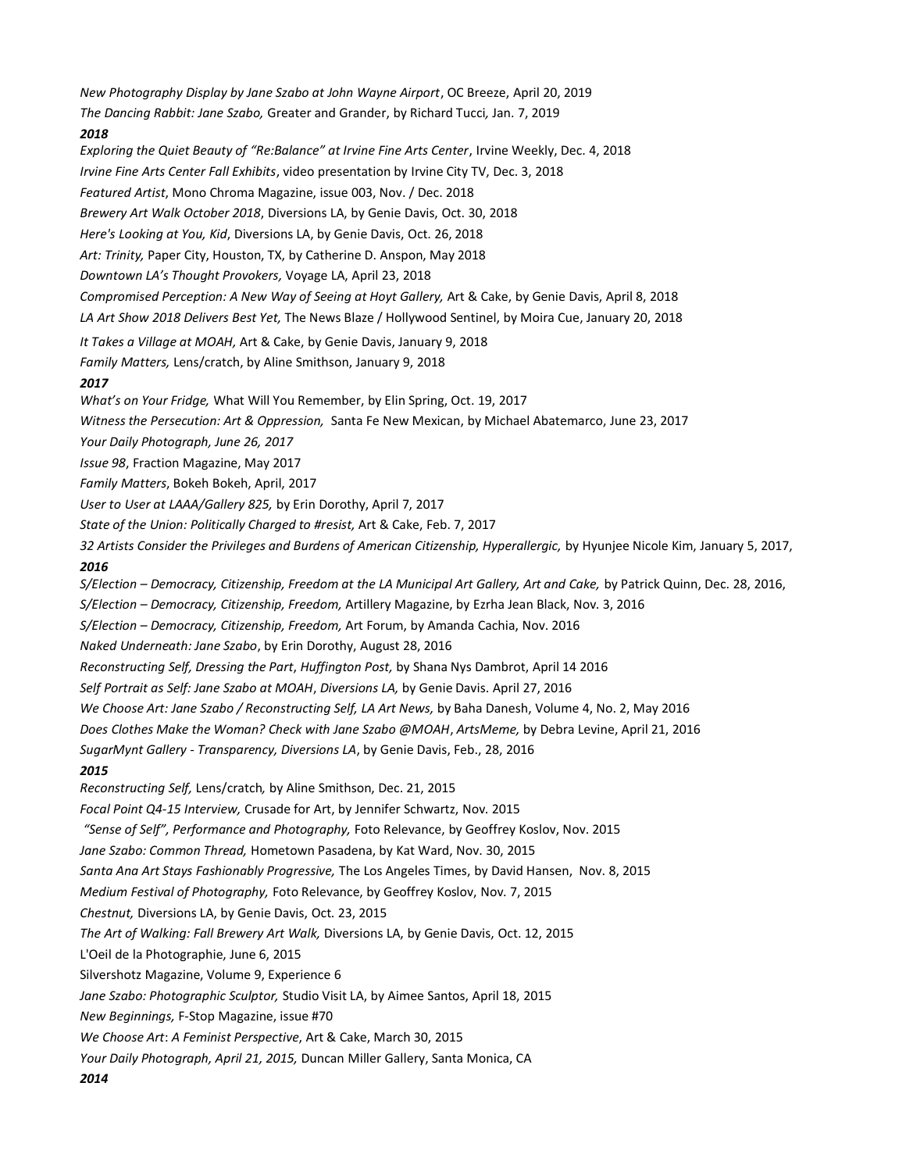*New Photography Display by Jane Szabo at John Wayne Airport*, OC Breeze, April 20, 2019 *The Dancing Rabbit: Jane Szabo,* Greater and Grander, by Richard Tucci*,* Jan. 7, 2019 *2018 Exploring the Quiet Beauty of "Re:Balance" at Irvine Fine Arts Center*, Irvine Weekly, Dec. 4, 2018 *Irvine Fine Arts Center Fall Exhibits*, video presentation by Irvine City TV, Dec. 3, 2018 *Featured Artist*, Mono Chroma Magazine, issue 003, Nov. / Dec. 2018 *Brewery Art Walk October 2018*, Diversions LA, by Genie Davis, Oct. 30, 2018 *Here's Looking at You, Kid*, Diversions LA, by Genie Davis, Oct. 26, 2018 *Art: Trinity,* Paper City, Houston, TX, by Catherine D. Anspon, May 2018 *Downtown LA's Thought Provokers,* Voyage LA, April 23, 2018 *Compromised Perception: A New Way of Seeing at Hoyt Gallery,* Art & Cake, by Genie Davis, April 8, 2018 *LA Art Show 2018 Delivers Best Yet,* The News Blaze / Hollywood Sentinel, by Moira Cue, January 20, 2018 *It Takes a Village at MOAH,* Art & Cake, by Genie Davis, January 9, 2018 *Family Matters,* Lens/cratch, by Aline Smithson, January 9, 2018 *2017 What's on Your Fridge,* What Will You Remember, by Elin Spring, Oct. 19, 2017 *Witness the Persecution: Art & Oppression,* Santa Fe New Mexican, by Michael Abatemarco, June 23, 2017 *Your Daily Photograph, June 26, 2017 Issue 98*, Fraction Magazine, May 2017 *Family Matters*, Bokeh Bokeh, April, 2017 *User to User at LAAA/Gallery 825,* by Erin Dorothy, April 7, 2017 *State of the Union: Politically Charged to #resist,* Art & Cake, Feb. 7, 2017 *32 Artists Consider the Privileges and Burdens of American Citizenship, Hyperallergic,* by Hyunjee Nicole Kim, January 5, 2017, *2016 S/Election – Democracy, Citizenship, Freedom at the LA Municipal Art Gallery, Art and Cake,* by Patrick Quinn, Dec. 28, 2016, *S/Election – Democracy, Citizenship, Freedom,* Artillery Magazine, by Ezrha Jean Black, Nov. 3, 2016 *S/Election – Democracy, Citizenship, Freedom,* Art Forum, by Amanda Cachia, Nov. 2016 *Naked Underneath: Jane Szabo*, by Erin Dorothy, August 28, 2016 *Reconstructing Self, Dressing the Part*, *Huffington Post,* by Shana Nys Dambrot, April 14 201[6](http://artsmeme.com/2016/04/21/clothes-make-woman-jane-szabo/) *Self Portrait as Self: Jane Szabo at MOAH*, *Diversions LA,* by Genie Davis. April 27, 2016 *We Choose Art: Jane Szabo / Reconstructing Self, LA Art News,* by Baha Danesh, Volume 4, No. 2, May 2016 *Does Clothes Make the Woman? Check with Jane Szabo @MOAH*, *ArtsMeme,* by Debra Levine, April 21, 2016 *SugarMynt Gallery - Transparency, Diversions LA*, by Genie Davis, Feb., 28, 2016 *2015 Reconstructing Self,* Lens/cratch*,* by Aline Smithson, Dec. 21, 2015 *Focal Point Q4-15 Interview,* Crusade for Art, by Jennifer Schwartz, Nov. 2015 *"Sense of Self", Performance and Photography,* Foto Relevance, by Geoffrey Koslov, Nov. 2015 *Jane Szabo: Common Thread,* Hometown Pasadena, by Kat Ward, Nov. 30, 2015 *Santa Ana Art Stays Fashionably Progressive,* The Los Angeles Times, by David Hansen, Nov. 8, 2015 *Medium Festival of Photography,* Foto Relevance, by Geoffrey Koslov, Nov. 7, 2015 *Chestnut,* Diversions LA, by Genie Davis, Oct. 23, 2015 *The Art of Walking: Fall Brewery Art Walk,* Diversions LA, by Genie Davis, Oct. 12, 2015 L'Oeil de la Photographie, June 6, 2015 Silvershotz Magazine, Volume 9, Experience 6 *Jane Szabo: Photographic Sculptor,* Studio Visit LA, by Aimee Santos, April 18, 2015 *New Beginnings,* F-Stop Magazine, issue #70 *We Choose Art*: *A Feminist Perspective*, Art & Cake, March 30, 2015 *Your Daily Photograph, April 21, 2015,* Duncan Miller Gallery, Santa Monica, CA *2014*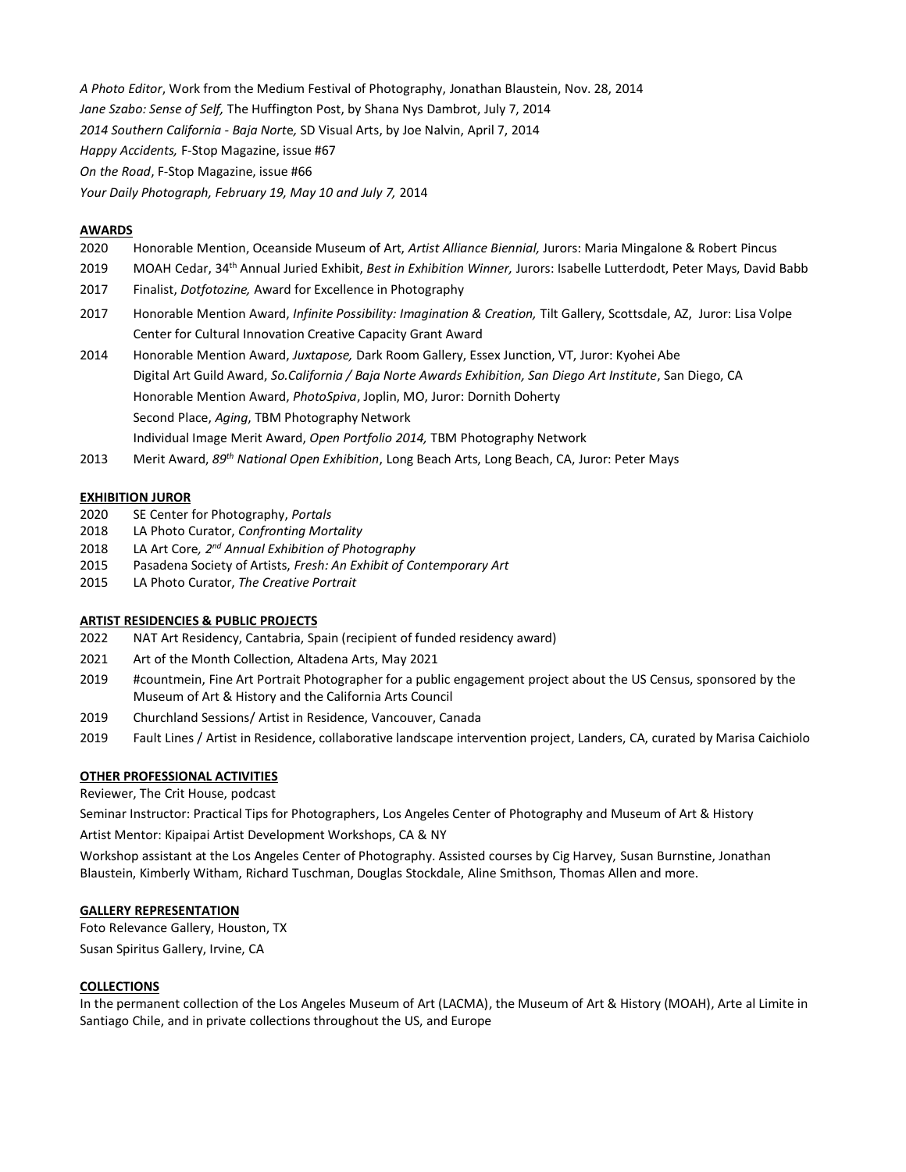*A Photo Editor*, Work from the Medium Festival of Photography, Jonathan Blaustein, Nov. 28, 2014 *Jane Szabo: Sense of Self,* The Huffington Post, by Shana Nys Dambrot, July 7, 2014 *2014 Southern California - Baja Nort*e*,* SD Visual Arts, by Joe Nalvin, April 7, 2014 *Happy Accidents,* F-Stop Magazine, issue #67 *On the Road*, F-Stop Magazine, issue #66 *Your Daily Photograph, February 19, May 10 and July 7,* 2014

### **AWARDS**

- 2020 Honorable Mention, Oceanside Museum of Art, *Artist Alliance Biennial,* Jurors: Maria Mingalone & Robert Pincus
- 2019 MOAH Cedar, 34th Annual Juried Exhibit, *Best in Exhibition Winner,* Jurors: Isabelle Lutterdodt, Peter Mays, David Babb
- 2017 Finalist, *Dotfotozine,* Award for Excellence in Photography
- 2017 Honorable Mention Award, *Infinite Possibility: Imagination & Creation,* Tilt Gallery, Scottsdale, AZ, Juror: Lisa Volpe Center for Cultural Innovation Creative Capacity Grant Award
- 2014 Honorable Mention Award, *Juxtapose,* Dark Room Gallery, Essex Junction, VT, Juror: Kyohei Abe Digital Art Guild Award, *So.California / Baja Norte Awards Exhibition, San Diego Art Institute*, San Diego, CA Honorable Mention Award, *PhotoSpiva*, Joplin, MO, Juror: Dornith Doherty Second Place, *Aging*, TBM Photography Network Individual Image Merit Award, *Open Portfolio 2014,* TBM Photography Network
- 2013 Merit Award, *89th National Open Exhibition*, Long Beach Arts, Long Beach, CA, Juror: Peter Mays

#### **EXHIBITION JUROR**

- 2020 SE Center for Photography, *Portals*
- 2018 LA Photo Curator, *Confronting Mortality*
- 2018 LA Art Core*, 2nd Annual Exhibition of Photography*
- 2015 Pasadena Society of Artists, *Fresh: An Exhibit of Contemporary Art*
- 2015 LA Photo Curator, *The Creative Portrait*

# **ARTIST RESIDENCIES & PUBLIC PROJECTS**

- 2022 NAT Art Residency, Cantabria, Spain (recipient of funded residency award)
- 2021 Art of the Month Collection, Altadena Arts, May 2021
- 2019 #countmein, Fine Art Portrait Photographer for a public engagement project about the US Census, sponsored by the Museum of Art & History and the California Arts Council
- 2019 Churchland Sessions/ Artist in Residence, Vancouver, Canada
- 2019 Fault Lines / Artist in Residence, collaborative landscape intervention project, Landers, CA, curated by Marisa Caichiolo

#### **OTHER PROFESSIONAL ACTIVITIES**

Reviewer, The Crit House, podcast

Seminar Instructor: Practical Tips for Photographers, Los Angeles Center of Photography and Museum of Art & History

Artist Mentor: Kipaipai Artist Development Workshops, CA & NY

Workshop assistant at the Los Angeles Center of Photography. Assisted courses by Cig Harvey, Susan Burnstine, Jonathan Blaustein, Kimberly Witham, Richard Tuschman, Douglas Stockdale, Aline Smithson, Thomas Allen and more.

### **GALLERY REPRESENTATION**

Foto Relevance Gallery, Houston, TX

Susan Spiritus Gallery, Irvine, CA

#### **COLLECTIONS**

In the permanent collection of the Los Angeles Museum of Art (LACMA), the Museum of Art & History (MOAH), Arte al Limite in Santiago Chile, and in private collections throughout the US, and Europe